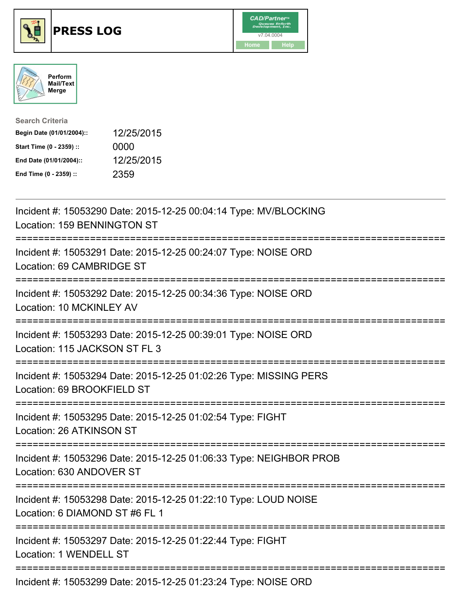





| <b>Search Criteria</b>    |            |
|---------------------------|------------|
| Begin Date (01/01/2004):: | 12/25/2015 |
| Start Time (0 - 2359) ::  | 0000       |
| End Date (01/01/2004)::   | 12/25/2015 |
| End Time (0 - 2359) ::    | 2359       |

| Incident #: 15053290 Date: 2015-12-25 00:04:14 Type: MV/BLOCKING<br>Location: 159 BENNINGTON ST                                     |
|-------------------------------------------------------------------------------------------------------------------------------------|
| Incident #: 15053291 Date: 2015-12-25 00:24:07 Type: NOISE ORD<br>Location: 69 CAMBRIDGE ST                                         |
| Incident #: 15053292 Date: 2015-12-25 00:34:36 Type: NOISE ORD<br>Location: 10 MCKINLEY AV<br>------------------------------------- |
| Incident #: 15053293 Date: 2015-12-25 00:39:01 Type: NOISE ORD<br>Location: 115 JACKSON ST FL 3                                     |
| Incident #: 15053294 Date: 2015-12-25 01:02:26 Type: MISSING PERS<br>Location: 69 BROOKFIELD ST                                     |
| Incident #: 15053295 Date: 2015-12-25 01:02:54 Type: FIGHT<br>Location: 26 ATKINSON ST                                              |
| Incident #: 15053296 Date: 2015-12-25 01:06:33 Type: NEIGHBOR PROB<br>Location: 630 ANDOVER ST                                      |
| Incident #: 15053298 Date: 2015-12-25 01:22:10 Type: LOUD NOISE<br>Location: 6 DIAMOND ST #6 FL 1                                   |
| Incident #: 15053297 Date: 2015-12-25 01:22:44 Type: FIGHT<br>Location: 1 WENDELL ST                                                |
| Incident #: 15053299 Date: 2015-12-25 01:23:24 Type: NOISE ORD                                                                      |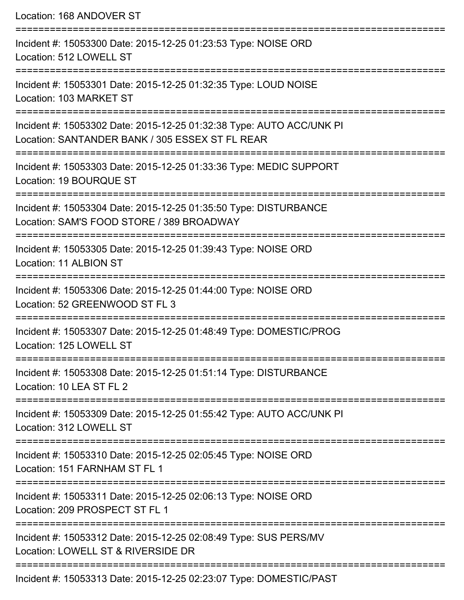Location: 168 ANDOVER ST =========================================================================== Incident #: 15053300 Date: 2015-12-25 01:23:53 Type: NOISE ORD Location: 512 LOWELL ST =========================================================================== Incident #: 15053301 Date: 2015-12-25 01:32:35 Type: LOUD NOISE Location: 103 MARKET ST =========================================================================== Incident #: 15053302 Date: 2015-12-25 01:32:38 Type: AUTO ACC/UNK PI Location: SANTANDER BANK / 305 ESSEX ST FL REAR =========================================================================== Incident #: 15053303 Date: 2015-12-25 01:33:36 Type: MEDIC SUPPORT Location: 19 BOURQUE ST =========================================================================== Incident #: 15053304 Date: 2015-12-25 01:35:50 Type: DISTURBANCE Location: SAM'S FOOD STORE / 389 BROADWAY =========================================================================== Incident #: 15053305 Date: 2015-12-25 01:39:43 Type: NOISE ORD Location: 11 ALBION ST =========================================================================== Incident #: 15053306 Date: 2015-12-25 01:44:00 Type: NOISE ORD Location: 52 GREENWOOD ST FL 3 =========================================================================== Incident #: 15053307 Date: 2015-12-25 01:48:49 Type: DOMESTIC/PROG Location: 125 LOWELL ST =========================================================================== Incident #: 15053308 Date: 2015-12-25 01:51:14 Type: DISTURBANCE Location: 10 LEA ST FL 2 =========================================================================== Incident #: 15053309 Date: 2015-12-25 01:55:42 Type: AUTO ACC/UNK PI Location: 312 LOWELL ST =========================================================================== Incident #: 15053310 Date: 2015-12-25 02:05:45 Type: NOISE ORD Location: 151 FARNHAM ST FL 1 =========================================================================== Incident #: 15053311 Date: 2015-12-25 02:06:13 Type: NOISE ORD Location: 209 PROSPECT ST FL 1 =========================================================================== Incident #: 15053312 Date: 2015-12-25 02:08:49 Type: SUS PERS/MV Location: LOWELL ST & RIVERSIDE DR =========================================================================== Incident #: 15053313 Date: 2015-12-25 02:23:07 Type: DOMESTIC/PAST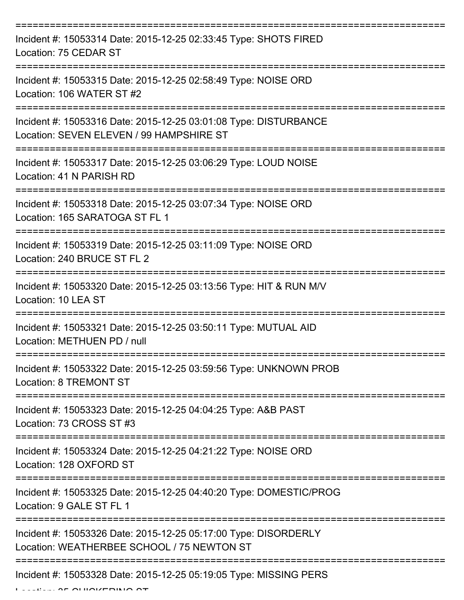| Incident #: 15053314 Date: 2015-12-25 02:33:45 Type: SHOTS FIRED<br>Location: 75 CEDAR ST                     |
|---------------------------------------------------------------------------------------------------------------|
| Incident #: 15053315 Date: 2015-12-25 02:58:49 Type: NOISE ORD<br>Location: 106 WATER ST #2                   |
| Incident #: 15053316 Date: 2015-12-25 03:01:08 Type: DISTURBANCE<br>Location: SEVEN ELEVEN / 99 HAMPSHIRE ST  |
| Incident #: 15053317 Date: 2015-12-25 03:06:29 Type: LOUD NOISE<br>Location: 41 N PARISH RD                   |
| Incident #: 15053318 Date: 2015-12-25 03:07:34 Type: NOISE ORD<br>Location: 165 SARATOGA ST FL 1              |
| Incident #: 15053319 Date: 2015-12-25 03:11:09 Type: NOISE ORD<br>Location: 240 BRUCE ST FL 2                 |
| Incident #: 15053320 Date: 2015-12-25 03:13:56 Type: HIT & RUN M/V<br>Location: 10 LEA ST                     |
| Incident #: 15053321 Date: 2015-12-25 03:50:11 Type: MUTUAL AID<br>Location: METHUEN PD / null                |
| Incident #: 15053322 Date: 2015-12-25 03:59:56 Type: UNKNOWN PROB<br><b>Location: 8 TREMONT ST</b>            |
| Incident #: 15053323 Date: 2015-12-25 04:04:25 Type: A&B PAST<br>Location: 73 CROSS ST #3                     |
| Incident #: 15053324 Date: 2015-12-25 04:21:22 Type: NOISE ORD<br>Location: 128 OXFORD ST                     |
| Incident #: 15053325 Date: 2015-12-25 04:40:20 Type: DOMESTIC/PROG<br>Location: 9 GALE ST FL 1                |
| Incident #: 15053326 Date: 2015-12-25 05:17:00 Type: DISORDERLY<br>Location: WEATHERBEE SCHOOL / 75 NEWTON ST |
| Incident #: 15053328 Date: 2015-12-25 05:19:05 Type: MISSING PERS                                             |

 $L_{\text{max}}$  of childrening of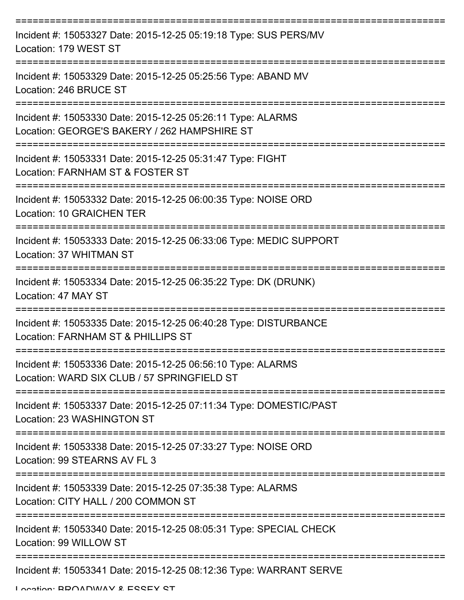| Incident #: 15053327 Date: 2015-12-25 05:19:18 Type: SUS PERS/MV<br>Location: 179 WEST ST                   |
|-------------------------------------------------------------------------------------------------------------|
| Incident #: 15053329 Date: 2015-12-25 05:25:56 Type: ABAND MV<br>Location: 246 BRUCE ST                     |
| Incident #: 15053330 Date: 2015-12-25 05:26:11 Type: ALARMS<br>Location: GEORGE'S BAKERY / 262 HAMPSHIRE ST |
| Incident #: 15053331 Date: 2015-12-25 05:31:47 Type: FIGHT<br>Location: FARNHAM ST & FOSTER ST              |
| Incident #: 15053332 Date: 2015-12-25 06:00:35 Type: NOISE ORD<br><b>Location: 10 GRAICHEN TER</b>          |
| Incident #: 15053333 Date: 2015-12-25 06:33:06 Type: MEDIC SUPPORT<br>Location: 37 WHITMAN ST               |
| Incident #: 15053334 Date: 2015-12-25 06:35:22 Type: DK (DRUNK)<br>Location: 47 MAY ST                      |
| Incident #: 15053335 Date: 2015-12-25 06:40:28 Type: DISTURBANCE<br>Location: FARNHAM ST & PHILLIPS ST      |
| Incident #: 15053336 Date: 2015-12-25 06:56:10 Type: ALARMS<br>Location: WARD SIX CLUB / 57 SPRINGFIELD ST  |
| Incident #: 15053337 Date: 2015-12-25 07:11:34 Type: DOMESTIC/PAST<br>Location: 23 WASHINGTON ST            |
| Incident #: 15053338 Date: 2015-12-25 07:33:27 Type: NOISE ORD<br>Location: 99 STEARNS AV FL 3              |
| Incident #: 15053339 Date: 2015-12-25 07:35:38 Type: ALARMS<br>Location: CITY HALL / 200 COMMON ST          |
| Incident #: 15053340 Date: 2015-12-25 08:05:31 Type: SPECIAL CHECK<br>Location: 99 WILLOW ST                |
| Incident #: 15053341 Date: 2015-12-25 08:12:36 Type: WARRANT SERVE                                          |

Location: BDOADWAY & ESSEY ST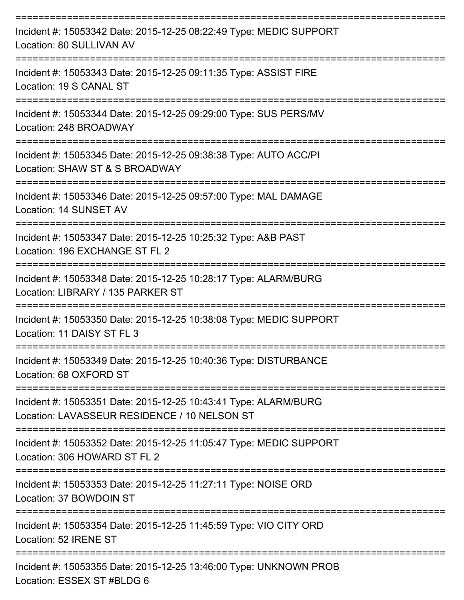| Incident #: 15053342 Date: 2015-12-25 08:22:49 Type: MEDIC SUPPORT<br>Location: 80 SULLIVAN AV                                      |
|-------------------------------------------------------------------------------------------------------------------------------------|
| Incident #: 15053343 Date: 2015-12-25 09:11:35 Type: ASSIST FIRE<br>Location: 19 S CANAL ST                                         |
| Incident #: 15053344 Date: 2015-12-25 09:29:00 Type: SUS PERS/MV<br>Location: 248 BROADWAY                                          |
| Incident #: 15053345 Date: 2015-12-25 09:38:38 Type: AUTO ACC/PI<br>Location: SHAW ST & S BROADWAY                                  |
| Incident #: 15053346 Date: 2015-12-25 09:57:00 Type: MAL DAMAGE<br>Location: 14 SUNSET AV                                           |
| Incident #: 15053347 Date: 2015-12-25 10:25:32 Type: A&B PAST<br>Location: 196 EXCHANGE ST FL 2                                     |
| Incident #: 15053348 Date: 2015-12-25 10:28:17 Type: ALARM/BURG<br>Location: LIBRARY / 135 PARKER ST                                |
| Incident #: 15053350 Date: 2015-12-25 10:38:08 Type: MEDIC SUPPORT<br>Location: 11 DAISY ST FL 3                                    |
| Incident #: 15053349 Date: 2015-12-25 10:40:36 Type: DISTURBANCE<br>Location: 68 OXFORD ST                                          |
| ----------------<br>Incident #: 15053351 Date: 2015-12-25 10:43:41 Type: ALARM/BURG<br>Location: LAVASSEUR RESIDENCE / 10 NELSON ST |
| Incident #: 15053352 Date: 2015-12-25 11:05:47 Type: MEDIC SUPPORT<br>Location: 306 HOWARD ST FL 2                                  |
| Incident #: 15053353 Date: 2015-12-25 11:27:11 Type: NOISE ORD<br>Location: 37 BOWDOIN ST                                           |
| Incident #: 15053354 Date: 2015-12-25 11:45:59 Type: VIO CITY ORD<br>Location: 52 IRENE ST                                          |
| Incident #: 15053355 Date: 2015-12-25 13:46:00 Type: UNKNOWN PROB<br>Location: ESSEX ST #BLDG 6                                     |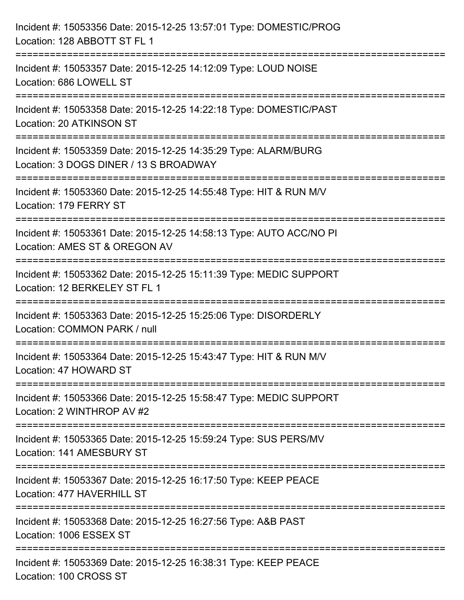| Incident #: 15053356 Date: 2015-12-25 13:57:01 Type: DOMESTIC/PROG<br>Location: 128 ABBOTT ST FL 1                                          |
|---------------------------------------------------------------------------------------------------------------------------------------------|
| :==========================<br>Incident #: 15053357 Date: 2015-12-25 14:12:09 Type: LOUD NOISE<br>Location: 686 LOWELL ST                   |
| Incident #: 15053358 Date: 2015-12-25 14:22:18 Type: DOMESTIC/PAST<br>Location: 20 ATKINSON ST<br>================================          |
| Incident #: 15053359 Date: 2015-12-25 14:35:29 Type: ALARM/BURG<br>Location: 3 DOGS DINER / 13 S BROADWAY                                   |
| Incident #: 15053360 Date: 2015-12-25 14:55:48 Type: HIT & RUN M/V<br>Location: 179 FERRY ST                                                |
| Incident #: 15053361 Date: 2015-12-25 14:58:13 Type: AUTO ACC/NO PI<br>Location: AMES ST & OREGON AV                                        |
| Incident #: 15053362 Date: 2015-12-25 15:11:39 Type: MEDIC SUPPORT<br>Location: 12 BERKELEY ST FL 1<br>==================================== |
| Incident #: 15053363 Date: 2015-12-25 15:25:06 Type: DISORDERLY<br>Location: COMMON PARK / null                                             |
| Incident #: 15053364 Date: 2015-12-25 15:43:47 Type: HIT & RUN M/V<br>Location: 47 HOWARD ST<br>================================            |
| Incident #: 15053366 Date: 2015-12-25 15:58:47 Type: MEDIC SUPPORT<br>Location: 2 WINTHROP AV #2                                            |
| Incident #: 15053365 Date: 2015-12-25 15:59:24 Type: SUS PERS/MV<br>Location: 141 AMESBURY ST                                               |
| Incident #: 15053367 Date: 2015-12-25 16:17:50 Type: KEEP PEACE<br>Location: 477 HAVERHILL ST                                               |
| Incident #: 15053368 Date: 2015-12-25 16:27:56 Type: A&B PAST<br>Location: 1006 ESSEX ST                                                    |
| Incident #: 15053369 Date: 2015-12-25 16:38:31 Type: KEEP PEACE<br>Location: 100 CROSS ST                                                   |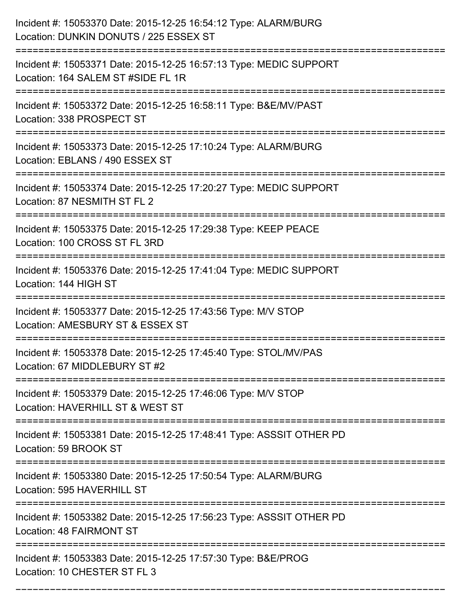| Incident #: 15053370 Date: 2015-12-25 16:54:12 Type: ALARM/BURG<br>Location: DUNKIN DONUTS / 225 ESSEX ST |
|-----------------------------------------------------------------------------------------------------------|
| Incident #: 15053371 Date: 2015-12-25 16:57:13 Type: MEDIC SUPPORT<br>Location: 164 SALEM ST #SIDE FL 1R  |
| Incident #: 15053372 Date: 2015-12-25 16:58:11 Type: B&E/MV/PAST<br>Location: 338 PROSPECT ST             |
| Incident #: 15053373 Date: 2015-12-25 17:10:24 Type: ALARM/BURG<br>Location: EBLANS / 490 ESSEX ST        |
| Incident #: 15053374 Date: 2015-12-25 17:20:27 Type: MEDIC SUPPORT<br>Location: 87 NESMITH ST FL 2        |
| Incident #: 15053375 Date: 2015-12-25 17:29:38 Type: KEEP PEACE<br>Location: 100 CROSS ST FL 3RD          |
| Incident #: 15053376 Date: 2015-12-25 17:41:04 Type: MEDIC SUPPORT<br>Location: 144 HIGH ST               |
| Incident #: 15053377 Date: 2015-12-25 17:43:56 Type: M/V STOP<br>Location: AMESBURY ST & ESSEX ST         |
| Incident #: 15053378 Date: 2015-12-25 17:45:40 Type: STOL/MV/PAS<br>Location: 67 MIDDLEBURY ST #2         |
| Incident #: 15053379 Date: 2015-12-25 17:46:06 Type: M/V STOP<br>Location: HAVERHILL ST & WEST ST         |
| Incident #: 15053381 Date: 2015-12-25 17:48:41 Type: ASSSIT OTHER PD<br>Location: 59 BROOK ST             |
| Incident #: 15053380 Date: 2015-12-25 17:50:54 Type: ALARM/BURG<br>Location: 595 HAVERHILL ST             |
| Incident #: 15053382 Date: 2015-12-25 17:56:23 Type: ASSSIT OTHER PD<br>Location: 48 FAIRMONT ST          |
| Incident #: 15053383 Date: 2015-12-25 17:57:30 Type: B&E/PROG<br>Location: 10 CHESTER ST FL 3             |

===========================================================================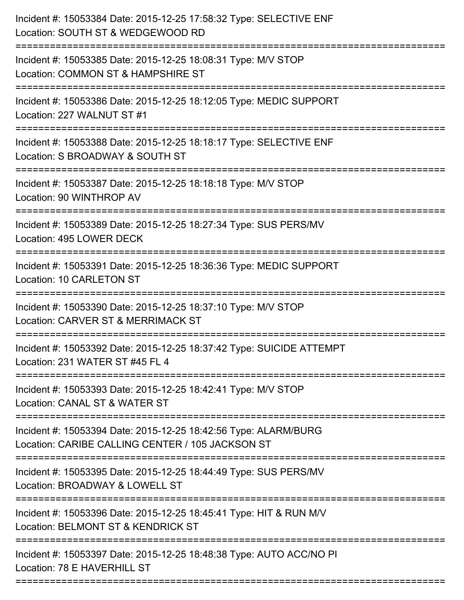| Incident #: 15053384 Date: 2015-12-25 17:58:32 Type: SELECTIVE ENF<br>Location: SOUTH ST & WEDGEWOOD RD                |
|------------------------------------------------------------------------------------------------------------------------|
| Incident #: 15053385 Date: 2015-12-25 18:08:31 Type: M/V STOP<br>Location: COMMON ST & HAMPSHIRE ST                    |
| Incident #: 15053386 Date: 2015-12-25 18:12:05 Type: MEDIC SUPPORT<br>Location: 227 WALNUT ST #1                       |
| Incident #: 15053388 Date: 2015-12-25 18:18:17 Type: SELECTIVE ENF<br>Location: S BROADWAY & SOUTH ST                  |
| Incident #: 15053387 Date: 2015-12-25 18:18:18 Type: M/V STOP<br>Location: 90 WINTHROP AV                              |
| Incident #: 15053389 Date: 2015-12-25 18:27:34 Type: SUS PERS/MV<br>Location: 495 LOWER DECK                           |
| Incident #: 15053391 Date: 2015-12-25 18:36:36 Type: MEDIC SUPPORT<br><b>Location: 10 CARLETON ST</b>                  |
| Incident #: 15053390 Date: 2015-12-25 18:37:10 Type: M/V STOP<br>Location: CARVER ST & MERRIMACK ST                    |
| Incident #: 15053392 Date: 2015-12-25 18:37:42 Type: SUICIDE ATTEMPT<br>Location: 231 WATER ST #45 FL 4                |
| Incident #: 15053393 Date: 2015-12-25 18:42:41 Type: M/V STOP<br>Location: CANAL ST & WATER ST                         |
| Incident #: 15053394 Date: 2015-12-25 18:42:56 Type: ALARM/BURG<br>Location: CARIBE CALLING CENTER / 105 JACKSON ST    |
| Incident #: 15053395 Date: 2015-12-25 18:44:49 Type: SUS PERS/MV<br>Location: BROADWAY & LOWELL ST<br>---------------- |
| Incident #: 15053396 Date: 2015-12-25 18:45:41 Type: HIT & RUN M/V<br>Location: BELMONT ST & KENDRICK ST               |
| Incident #: 15053397 Date: 2015-12-25 18:48:38 Type: AUTO ACC/NO PI<br>Location: 78 E HAVERHILL ST                     |
|                                                                                                                        |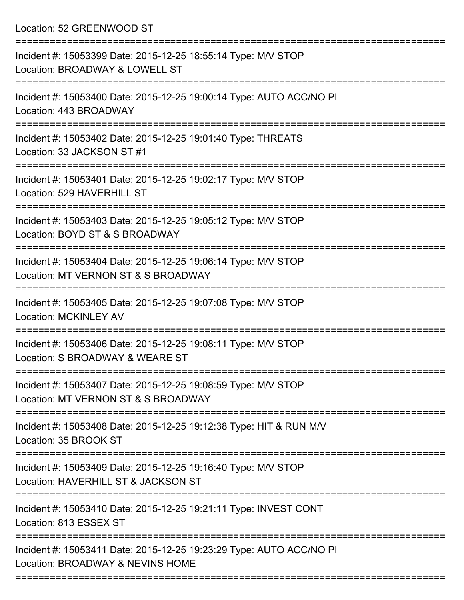Location: 52 GREENWOOD ST

| Incident #: 15053399 Date: 2015-12-25 18:55:14 Type: M/V STOP<br>Location: BROADWAY & LOWELL ST         |
|---------------------------------------------------------------------------------------------------------|
| Incident #: 15053400 Date: 2015-12-25 19:00:14 Type: AUTO ACC/NO PI<br>Location: 443 BROADWAY           |
| Incident #: 15053402 Date: 2015-12-25 19:01:40 Type: THREATS<br>Location: 33 JACKSON ST #1              |
| Incident #: 15053401 Date: 2015-12-25 19:02:17 Type: M/V STOP<br>Location: 529 HAVERHILL ST             |
| Incident #: 15053403 Date: 2015-12-25 19:05:12 Type: M/V STOP<br>Location: BOYD ST & S BROADWAY         |
| Incident #: 15053404 Date: 2015-12-25 19:06:14 Type: M/V STOP<br>Location: MT VERNON ST & S BROADWAY    |
| Incident #: 15053405 Date: 2015-12-25 19:07:08 Type: M/V STOP<br><b>Location: MCKINLEY AV</b>           |
| Incident #: 15053406 Date: 2015-12-25 19:08:11 Type: M/V STOP<br>Location: S BROADWAY & WEARE ST        |
| Incident #: 15053407 Date: 2015-12-25 19:08:59 Type: M/V STOP<br>Location: MT VERNON ST & S BROADWAY    |
| Incident #: 15053408 Date: 2015-12-25 19:12:38 Type: HIT & RUN M/V<br>Location: 35 BROOK ST             |
| Incident #: 15053409 Date: 2015-12-25 19:16:40 Type: M/V STOP<br>Location: HAVERHILL ST & JACKSON ST    |
| Incident #: 15053410 Date: 2015-12-25 19:21:11 Type: INVEST CONT<br>Location: 813 ESSEX ST              |
| Incident #: 15053411 Date: 2015-12-25 19:23:29 Type: AUTO ACC/NO PI<br>Location: BROADWAY & NEVINS HOME |
|                                                                                                         |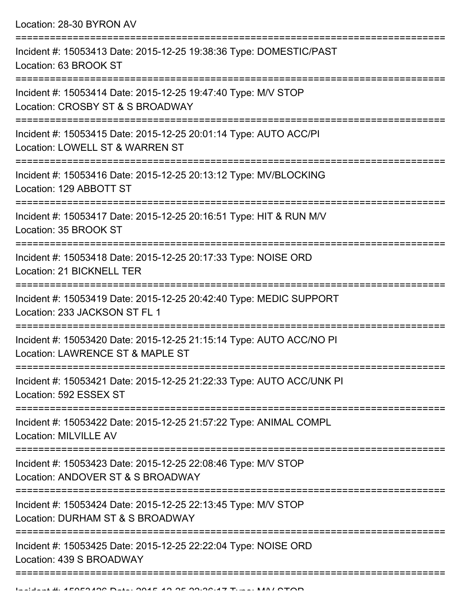Location: 28-30 BYRON AV

| Incident #: 15053413 Date: 2015-12-25 19:38:36 Type: DOMESTIC/PAST<br>Location: 63 BROOK ST                         |
|---------------------------------------------------------------------------------------------------------------------|
| Incident #: 15053414 Date: 2015-12-25 19:47:40 Type: M/V STOP<br>Location: CROSBY ST & S BROADWAY                   |
| Incident #: 15053415 Date: 2015-12-25 20:01:14 Type: AUTO ACC/PI<br>Location: LOWELL ST & WARREN ST                 |
| Incident #: 15053416 Date: 2015-12-25 20:13:12 Type: MV/BLOCKING<br>Location: 129 ABBOTT ST                         |
| Incident #: 15053417 Date: 2015-12-25 20:16:51 Type: HIT & RUN M/V<br>Location: 35 BROOK ST                         |
| Incident #: 15053418 Date: 2015-12-25 20:17:33 Type: NOISE ORD<br>Location: 21 BICKNELL TER                         |
| Incident #: 15053419 Date: 2015-12-25 20:42:40 Type: MEDIC SUPPORT<br>Location: 233 JACKSON ST FL 1                 |
| Incident #: 15053420 Date: 2015-12-25 21:15:14 Type: AUTO ACC/NO PI<br>Location: LAWRENCE ST & MAPLE ST             |
| Incident #: 15053421 Date: 2015-12-25 21:22:33 Type: AUTO ACC/UNK PI<br>Location: 592 ESSEX ST                      |
| ______________<br>Incident #: 15053422 Date: 2015-12-25 21:57:22 Type: ANIMAL COMPL<br><b>Location: MILVILLE AV</b> |
| Incident #: 15053423 Date: 2015-12-25 22:08:46 Type: M/V STOP<br>Location: ANDOVER ST & S BROADWAY                  |
| Incident #: 15053424 Date: 2015-12-25 22:13:45 Type: M/V STOP<br>Location: DURHAM ST & S BROADWAY                   |
| Incident #: 15053425 Date: 2015-12-25 22:22:04 Type: NOISE ORD<br>Location: 439 S BROADWAY                          |
|                                                                                                                     |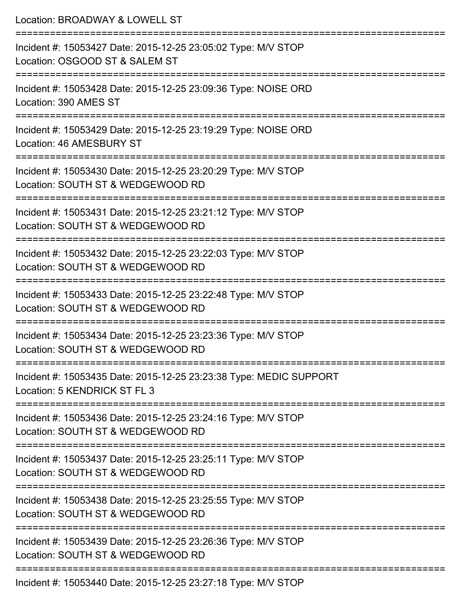| Location: BROADWAY & LOWELL ST                                                                                          |
|-------------------------------------------------------------------------------------------------------------------------|
| Incident #: 15053427 Date: 2015-12-25 23:05:02 Type: M/V STOP<br>Location: OSGOOD ST & SALEM ST<br>:=================== |
| Incident #: 15053428 Date: 2015-12-25 23:09:36 Type: NOISE ORD<br>Location: 390 AMES ST                                 |
| Incident #: 15053429 Date: 2015-12-25 23:19:29 Type: NOISE ORD<br>Location: 46 AMESBURY ST                              |
| Incident #: 15053430 Date: 2015-12-25 23:20:29 Type: M/V STOP<br>Location: SOUTH ST & WEDGEWOOD RD                      |
| Incident #: 15053431 Date: 2015-12-25 23:21:12 Type: M/V STOP<br>Location: SOUTH ST & WEDGEWOOD RD                      |
| Incident #: 15053432 Date: 2015-12-25 23:22:03 Type: M/V STOP<br>Location: SOUTH ST & WEDGEWOOD RD                      |
| Incident #: 15053433 Date: 2015-12-25 23:22:48 Type: M/V STOP<br>Location: SOUTH ST & WEDGEWOOD RD                      |
| Incident #: 15053434 Date: 2015-12-25 23:23:36 Type: M/V STOP<br>Location: SOUTH ST & WEDGEWOOD RD                      |
| Incident #: 15053435 Date: 2015-12-25 23:23:38 Type: MEDIC SUPPORT<br>Location: 5 KENDRICK ST FL 3                      |
| Incident #: 15053436 Date: 2015-12-25 23:24:16 Type: M/V STOP<br>Location: SOUTH ST & WEDGEWOOD RD                      |
| Incident #: 15053437 Date: 2015-12-25 23:25:11 Type: M/V STOP<br>Location: SOUTH ST & WEDGEWOOD RD                      |
| Incident #: 15053438 Date: 2015-12-25 23:25:55 Type: M/V STOP<br>Location: SOUTH ST & WEDGEWOOD RD                      |
| Incident #: 15053439 Date: 2015-12-25 23:26:36 Type: M/V STOP<br>Location: SOUTH ST & WEDGEWOOD RD                      |
| Incident #: 15053440 Date: 2015-12-25 23:27:18 Type: M/V STOP                                                           |